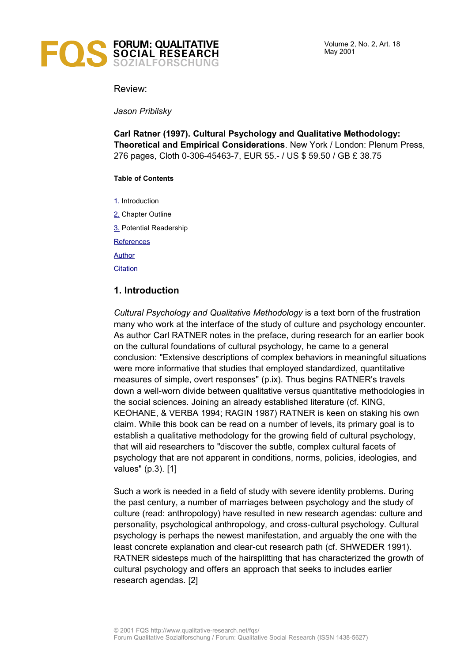

Review:

*Jason Pribilsky*

**Carl Ratner (1997). Cultural Psychology and Qualitative Methodology: Theoretical and Empirical Considerations**. New York / London: Plenum Press, 276 pages, Cloth 0-306-45463-7, EUR 55.- / US \$ 59.50 / GB £ 38.75

#### **Table of Contents**

[1.](#page-0-0) Introduction

[2.](#page-1-0) Chapter Outline

[3.](#page-2-3) Potential Readership

**[References](#page-2-2)** 

[Author](#page-2-1)

**[Citation](#page-2-0)** 

## <span id="page-0-0"></span>**1. Introduction**

*Cultural Psychology and Qualitative Methodology* is a text born of the frustration many who work at the interface of the study of culture and psychology encounter. As author Carl RATNER notes in the preface, during research for an earlier book on the cultural foundations of cultural psychology, he came to a general conclusion: "Extensive descriptions of complex behaviors in meaningful situations were more informative that studies that employed standardized, quantitative measures of simple, overt responses" (p.ix). Thus begins RATNER's travels down a well-worn divide between qualitative versus quantitative methodologies in the social sciences. Joining an already established literature (cf. KING, KEOHANE, & VERBA 1994; RAGIN 1987) RATNER is keen on staking his own claim. While this book can be read on a number of levels, its primary goal is to establish a qualitative methodology for the growing field of cultural psychology, that will aid researchers to "discover the subtle, complex cultural facets of psychology that are not apparent in conditions, norms, policies, ideologies, and values" (p.3). [1]

Such a work is needed in a field of study with severe identity problems. During the past century, a number of marriages between psychology and the study of culture (read: anthropology) have resulted in new research agendas: culture and personality, psychological anthropology, and cross-cultural psychology. Cultural psychology is perhaps the newest manifestation, and arguably the one with the least concrete explanation and clear-cut research path (cf. SHWEDER 1991). RATNER sidesteps much of the hairsplitting that has characterized the growth of cultural psychology and offers an approach that seeks to includes earlier research agendas. [2]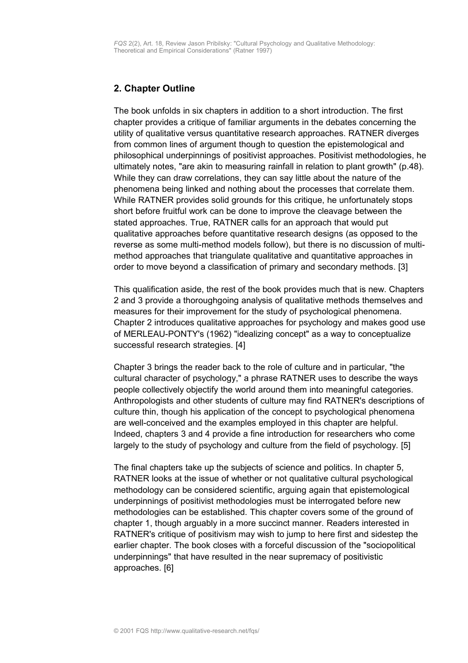# <span id="page-1-0"></span>**2. Chapter Outline**

The book unfolds in six chapters in addition to a short introduction. The first chapter provides a critique of familiar arguments in the debates concerning the utility of qualitative versus quantitative research approaches. RATNER diverges from common lines of argument though to question the epistemological and philosophical underpinnings of positivist approaches. Positivist methodologies, he ultimately notes, "are akin to measuring rainfall in relation to plant growth" (p.48). While they can draw correlations, they can say little about the nature of the phenomena being linked and nothing about the processes that correlate them. While RATNER provides solid grounds for this critique, he unfortunately stops short before fruitful work can be done to improve the cleavage between the stated approaches. True, RATNER calls for an approach that would put qualitative approaches before quantitative research designs (as opposed to the reverse as some multi-method models follow), but there is no discussion of multimethod approaches that triangulate qualitative and quantitative approaches in order to move beyond a classification of primary and secondary methods. [3]

This qualification aside, the rest of the book provides much that is new. Chapters 2 and 3 provide a thoroughgoing analysis of qualitative methods themselves and measures for their improvement for the study of psychological phenomena. Chapter 2 introduces qualitative approaches for psychology and makes good use of MERLEAU-PONTY's (1962) "idealizing concept" as a way to conceptualize successful research strategies. [4]

Chapter 3 brings the reader back to the role of culture and in particular, "the cultural character of psychology," a phrase RATNER uses to describe the ways people collectively objectify the world around them into meaningful categories. Anthropologists and other students of culture may find RATNER's descriptions of culture thin, though his application of the concept to psychological phenomena are well-conceived and the examples employed in this chapter are helpful. Indeed, chapters 3 and 4 provide a fine introduction for researchers who come largely to the study of psychology and culture from the field of psychology. [5]

The final chapters take up the subjects of science and politics. In chapter 5, RATNER looks at the issue of whether or not qualitative cultural psychological methodology can be considered scientific, arguing again that epistemological underpinnings of positivist methodologies must be interrogated before new methodologies can be established. This chapter covers some of the ground of chapter 1, though arguably in a more succinct manner. Readers interested in RATNER's critique of positivism may wish to jump to here first and sidestep the earlier chapter. The book closes with a forceful discussion of the "sociopolitical underpinnings" that have resulted in the near supremacy of positivistic approaches. [6]